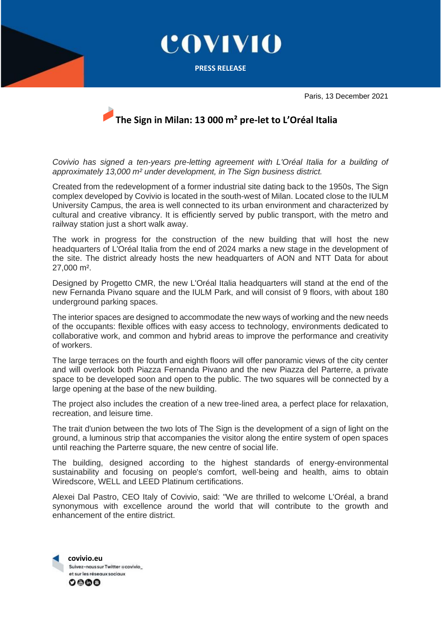

## **The Sign in Milan: 13 000 m² pre-let to L'Oréal Italia**

*Covivio has signed a ten-years pre-letting agreement with L'Oréal Italia for a building of approximately 13,000 m² under development, in The Sign business district.*

Created from the redevelopment of a former industrial site dating back to the 1950s, The Sign complex developed by Covivio is located in the south-west of Milan. Located close to the IULM University Campus, the area is well connected to its urban environment and characterized by cultural and creative vibrancy. It is efficiently served by public transport, with the metro and railway station just a short walk away.

The work in progress for the construction of the new building that will host the new headquarters of L'Oréal Italia from the end of 2024 marks a new stage in the development of the site. The district already hosts the new headquarters of AON and NTT Data for about 27,000 m².

Designed by Progetto CMR, the new L'Oréal Italia headquarters will stand at the end of the new Fernanda Pivano square and the IULM Park, and will consist of 9 floors, with about 180 underground parking spaces.

The interior spaces are designed to accommodate the new ways of working and the new needs of the occupants: flexible offices with easy access to technology, environments dedicated to collaborative work, and common and hybrid areas to improve the performance and creativity of workers.

The large terraces on the fourth and eighth floors will offer panoramic views of the city center and will overlook both Piazza Fernanda Pivano and the new Piazza del Parterre, a private space to be developed soon and open to the public. The two squares will be connected by a large opening at the base of the new building.

The project also includes the creation of a new tree-lined area, a perfect place for relaxation, recreation, and leisure time.

The trait d'union between the two lots of The Sign is the development of a sign of light on the ground, a luminous strip that accompanies the visitor along the entire system of open spaces until reaching the Parterre square, the new centre of social life.

The building, designed according to the highest standards of energy-environmental sustainability and focusing on people's comfort, well-being and health, aims to obtain Wiredscore, WELL and LEED Platinum certifications.

Alexei Dal Pastro, CEO Italy of Covivio, said: "We are thrilled to welcome L'Oréal, a brand synonymous with excellence around the world that will contribute to the growth and enhancement of the entire district.

**covivio.eu**<br>Suivez-nous sur Twitter **acovivio** et sur les réseaux sociaux 0000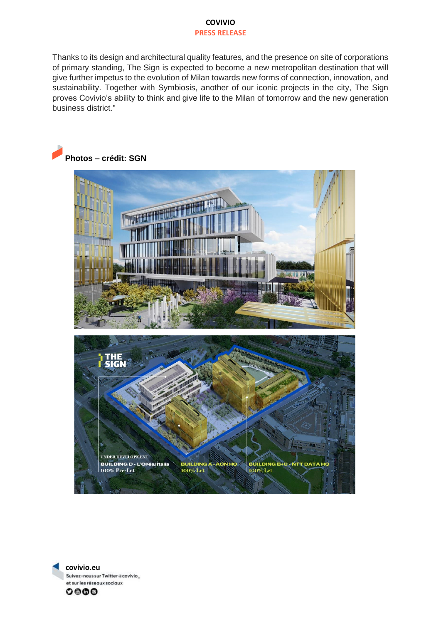## **COVIVIO PRESS RELEASE**

Thanks to its design and architectural quality features, and the presence on site of corporations of primary standing, The Sign is expected to become a new metropolitan destination that will give further impetus to the evolution of Milan towards new forms of connection, innovation, and sustainability. Together with Symbiosis, another of our iconic projects in the city, The Sign proves Covivio's ability to think and give life to the Milan of tomorrow and the new generation business district."





**covivio.eu**  Suivez-nous sur Twitter ecovivio\_ et sur les réseaux sociaux

 $0000$